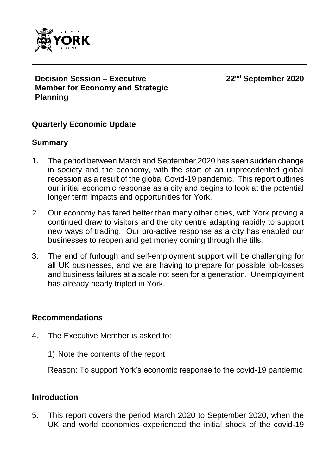

**Decision Session – Executive Member for Economy and Strategic Planning**

**22nd September 2020**

### **Quarterly Economic Update**

#### **Summary**

- 1. The period between March and September 2020 has seen sudden change in society and the economy, with the start of an unprecedented global recession as a result of the global Covid-19 pandemic. This report outlines our initial economic response as a city and begins to look at the potential longer term impacts and opportunities for York.
- 2. Our economy has fared better than many other cities, with York proving a continued draw to visitors and the city centre adapting rapidly to support new ways of trading. Our pro-active response as a city has enabled our businesses to reopen and get money coming through the tills.
- 3. The end of furlough and self-employment support will be challenging for all UK businesses, and we are having to prepare for possible job-losses and business failures at a scale not seen for a generation. Unemployment has already nearly tripled in York.

#### **Recommendations**

- 4. The Executive Member is asked to:
	- 1) Note the contents of the report

Reason: To support York's economic response to the covid-19 pandemic

#### **Introduction**

5. This report covers the period March 2020 to September 2020, when the UK and world economies experienced the initial shock of the covid-19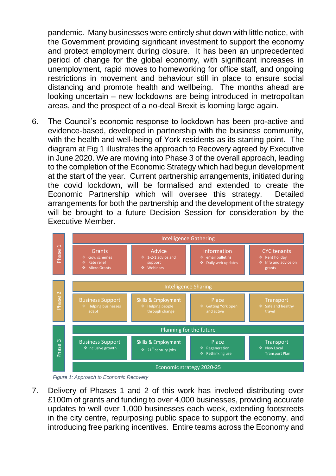pandemic. Many businesses were entirely shut down with little notice, with the Government providing significant investment to support the economy and protect employment during closure. It has been an unprecedented period of change for the global economy, with significant increases in unemployment, rapid moves to homeworking for office staff, and ongoing restrictions in movement and behaviour still in place to ensure social distancing and promote health and wellbeing. The months ahead are looking uncertain – new lockdowns are being introduced in metropolitan areas, and the prospect of a no-deal Brexit is looming large again.

6. The Council's economic response to lockdown has been pro-active and evidence-based, developed in partnership with the business community, with the health and well-being of York residents as its starting point. The diagram at Fig 1 illustrates the approach to Recovery agreed by Executive in June 2020. We are moving into Phase 3 of the overall approach, leading to the completion of the Economic Strategy which had begun development at the start of the year. Current partnership arrangements, initiated during the covid lockdown, will be formalised and extended to create the Economic Partnership which will oversee this strategy. Detailed arrangements for both the partnership and the development of the strategy will be brought to a future Decision Session for consideration by the Executive Member.



*Figure 1: Approach to Economic Recovery*

7. Delivery of Phases 1 and 2 of this work has involved distributing over £100m of grants and funding to over 4,000 businesses, providing accurate updates to well over 1,000 businesses each week, extending footstreets in the city centre, repurposing public space to support the economy, and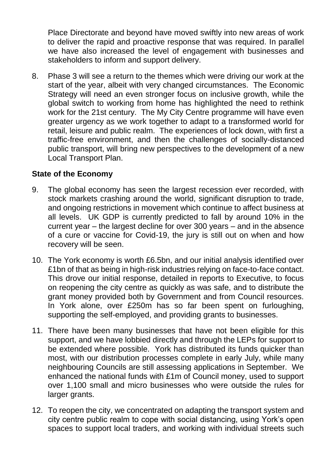Place Directorate and beyond have moved swiftly into new areas of work to deliver the rapid and proactive response that was required. In parallel we have also increased the level of engagement with businesses and stakeholders to inform and support delivery.

8. Phase 3 will see a return to the themes which were driving our work at the start of the year, albeit with very changed circumstances. The Economic Strategy will need an even stronger focus on inclusive growth, while the global switch to working from home has highlighted the need to rethink work for the 21st century. The My City Centre programme will have even greater urgency as we work together to adapt to a transformed world for retail, leisure and public realm. The experiences of lock down, with first a traffic-free environment, and then the challenges of socially-distanced public transport, will bring new perspectives to the development of a new Local Transport Plan.

## **State of the Economy**

- 9. The global economy has seen the largest recession ever recorded, with stock markets crashing around the world, significant disruption to trade, and ongoing restrictions in movement which continue to affect business at all levels. UK GDP is currently predicted to fall by around 10% in the current year – the largest decline for over 300 years – and in the absence of a cure or vaccine for Covid-19, the jury is still out on when and how recovery will be seen.
- 10. The York economy is worth £6.5bn, and our initial analysis identified over £1bn of that as being in high-risk industries relying on face-to-face contact. This drove our initial response, detailed in reports to Executive, to focus on reopening the city centre as quickly as was safe, and to distribute the grant money provided both by Government and from Council resources. In York alone, over £250m has so far been spent on furloughing, supporting the self-employed, and providing grants to businesses.
- 11. There have been many businesses that have not been eligible for this support, and we have lobbied directly and through the LEPs for support to be extended where possible. York has distributed its funds quicker than most, with our distribution processes complete in early July, while many neighbouring Councils are still assessing applications in September. We enhanced the national funds with £1m of Council money, used to support over 1,100 small and micro businesses who were outside the rules for larger grants.
- 12. To reopen the city, we concentrated on adapting the transport system and city centre public realm to cope with social distancing, using York's open spaces to support local traders, and working with individual streets such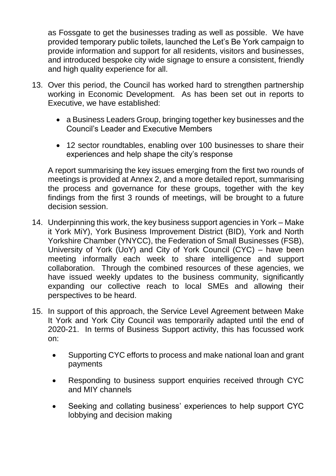as Fossgate to get the businesses trading as well as possible. We have provided temporary public toilets, launched the Let's Be York campaign to provide information and support for all residents, visitors and businesses, and introduced bespoke city wide signage to ensure a consistent, friendly and high quality experience for all.

- 13. Over this period, the Council has worked hard to strengthen partnership working in Economic Development. As has been set out in reports to Executive, we have established:
	- a Business Leaders Group, bringing together key businesses and the Council's Leader and Executive Members
	- 12 sector roundtables, enabling over 100 businesses to share their experiences and help shape the city's response

A report summarising the key issues emerging from the first two rounds of meetings is provided at Annex 2, and a more detailed report, summarising the process and governance for these groups, together with the key findings from the first 3 rounds of meetings, will be brought to a future decision session.

- 14. Underpinning this work, the key business support agencies in York Make it York MiY), York Business Improvement District (BID), York and North Yorkshire Chamber (YNYCC), the Federation of Small Businesses (FSB), University of York (UoY) and City of York Council (CYC) – have been meeting informally each week to share intelligence and support collaboration. Through the combined resources of these agencies, we have issued weekly updates to the business community, significantly expanding our collective reach to local SMEs and allowing their perspectives to be heard.
- 15. In support of this approach, the Service Level Agreement between Make It York and York City Council was temporarily adapted until the end of 2020-21. In terms of Business Support activity, this has focussed work on:
	- Supporting CYC efforts to process and make national loan and grant payments
	- Responding to business support enquiries received through CYC and MIY channels
	- Seeking and collating business' experiences to help support CYC lobbying and decision making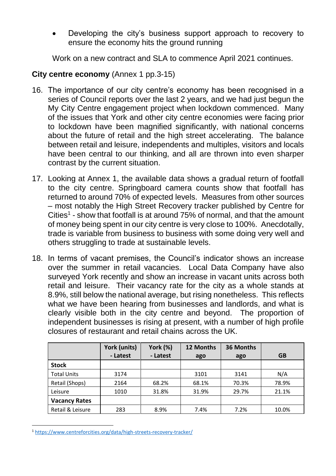Developing the city's business support approach to recovery to ensure the economy hits the ground running

Work on a new contract and SLA to commence April 2021 continues.

# **City centre economy** (Annex 1 pp.3-15)

- 16. The importance of our city centre's economy has been recognised in a series of Council reports over the last 2 years, and we had just begun the My City Centre engagement project when lockdown commenced. Many of the issues that York and other city centre economies were facing prior to lockdown have been magnified significantly, with national concerns about the future of retail and the high street accelerating. The balance between retail and leisure, independents and multiples, visitors and locals have been central to our thinking, and all are thrown into even sharper contrast by the current situation.
- 17. Looking at Annex 1, the available data shows a gradual return of footfall to the city centre. Springboard camera counts show that footfall has returned to around 70% of expected levels. Measures from other sources – most notably the High Street Recovery tracker published by Centre for Cities<sup>1</sup> - show that footfall is at around 75% of normal, and that the amount of money being spent in our city centre is very close to 100%. Anecdotally, trade is variable from business to business with some doing very well and others struggling to trade at sustainable levels.
- 18. In terms of vacant premises, the Council's indicator shows an increase over the summer in retail vacancies. Local Data Company have also surveyed York recently and show an increase in vacant units across both retail and leisure. Their vacancy rate for the city as a whole stands at 8.9%, still below the national average, but rising nonetheless. This reflects what we have been hearing from businesses and landlords, and what is clearly visible both in the city centre and beyond. The proportion of independent businesses is rising at present, with a number of high profile closures of restaurant and retail chains across the UK.

|                      | York (units) | York (%) | 12 Months | 36 Months |           |
|----------------------|--------------|----------|-----------|-----------|-----------|
|                      | - Latest     | - Latest | ago       | ago       | <b>GB</b> |
| <b>Stock</b>         |              |          |           |           |           |
| <b>Total Units</b>   | 3174         |          | 3101      | 3141      | N/A       |
| Retail (Shops)       | 2164         | 68.2%    | 68.1%     | 70.3%     | 78.9%     |
| Leisure              | 1010         | 31.8%    | 31.9%     | 29.7%     | 21.1%     |
| <b>Vacancy Rates</b> |              |          |           |           |           |
| Retail & Leisure     | 283          | 8.9%     | 7.4%      | 7.2%      | 10.0%     |

<sup>1</sup> <https://www.centreforcities.org/data/high-streets-recovery-tracker/>

1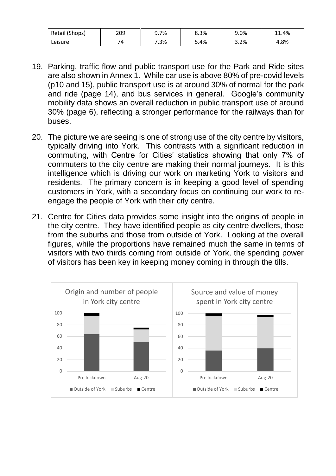| 10L<br>Retail<br>(Shops) | 209 | 9.7% | 8.3% | 9.0% | .4%<br>I 41. |
|--------------------------|-----|------|------|------|--------------|
| Leisure                  | 74  | 7.3% | 4%.د | 3.2% | 4.8%         |

- 19. Parking, traffic flow and public transport use for the Park and Ride sites are also shown in Annex 1. While car use is above 80% of pre-covid levels (p10 and 15), public transport use is at around 30% of normal for the park and ride (page 14), and bus services in general. Google's community mobility data shows an overall reduction in public transport use of around 30% (page 6), reflecting a stronger performance for the railways than for buses.
- 20. The picture we are seeing is one of strong use of the city centre by visitors, typically driving into York. This contrasts with a significant reduction in commuting, with Centre for Cities' statistics showing that only 7% of commuters to the city centre are making their normal journeys. It is this intelligence which is driving our work on marketing York to visitors and residents. The primary concern is in keeping a good level of spending customers in York, with a secondary focus on continuing our work to reengage the people of York with their city centre.
- 21. Centre for Cities data provides some insight into the origins of people in the city centre. They have identified people as city centre dwellers, those from the suburbs and those from outside of York. Looking at the overall figures, while the proportions have remained much the same in terms of visitors with two thirds coming from outside of York, the spending power of visitors has been key in keeping money coming in through the tills.

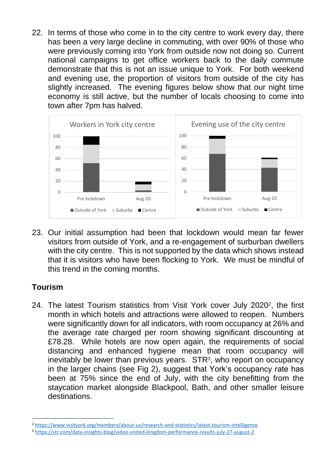22. In terms of those who come in to the city centre to work every day, there has been a very large decline in commuting, with over 90% of those who were previously coming into York from outside now not doing so. Current national campaigns to get office workers back to the daily commute demonstrate that this is not an issue unique to York. For both weekend and evening use, the proportion of visitors from outside of the city has slightly increased. The evening figures below show that our night time economy is still active, but the number of locals choosing to come into town after 7pm has halved.



23. Our initial assumption had been that lockdown would mean far fewer visitors from outside of York, and a re-engagement of surburban dwellers with the city centre. This is not supported by the data which shows instead that it is visitors who have been flocking to York. We must be mindful of this trend in the coming months.

# **Tourism**

1

24. The latest Tourism statistics from Visit York cover July 2020<sup>2</sup>, the first month in which hotels and attractions were allowed to reopen. Numbers were significantly down for all indicators, with room occupancy at 26% and the average rate charged per room showing significant discounting at £78.28. While hotels are now open again, the requirements of social distancing and enhanced hygiene mean that room occupancy will inevitably be lower than previous years. STR<sup>3</sup>, who report on occupancy in the larger chains (see Fig 2), suggest that York's occupancy rate has been at 75% since the end of July, with the city benefitting from the staycation market alongside Blackpool, Bath, and other smaller leisure destinations.

<sup>2</sup> <https://www.visityork.org/members/about-us/research-and-statistics/latest-tourism-intelligence>

<sup>3</sup> <https://str.com/data-insights-blog/video-united-kingdom-performance-results-july-27-august-2>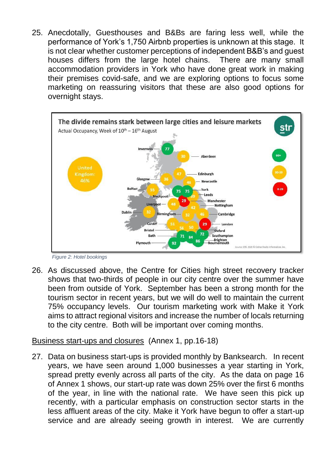25. Anecdotally, Guesthouses and B&Bs are faring less well, while the performance of York's 1,750 Airbnb properties is unknown at this stage. It is not clear whether customer perceptions of independent B&B's and guest houses differs from the large hotel chains. There are many small accommodation providers in York who have done great work in making their premises covid-safe, and we are exploring options to focus some marketing on reassuring visitors that these are also good options for overnight stays.





26. As discussed above, the Centre for Cities high street recovery tracker shows that two-thirds of people in our city centre over the summer have been from outside of York. September has been a strong month for the tourism sector in recent years, but we will do well to maintain the current 75% occupancy levels. Our tourism marketing work with Make it York aims to attract regional visitors and increase the number of locals returning to the city centre. Both will be important over coming months.

#### Business start-ups and closures (Annex 1, pp.16-18)

27. Data on business start-ups is provided monthly by Banksearch. In recent years, we have seen around 1,000 businesses a year starting in York, spread pretty evenly across all parts of the city. As the data on page 16 of Annex 1 shows, our start-up rate was down 25% over the first 6 months of the year, in line with the national rate. We have seen this pick up recently, with a particular emphasis on construction sector starts in the less affluent areas of the city. Make it York have begun to offer a start-up service and are already seeing growth in interest. We are currently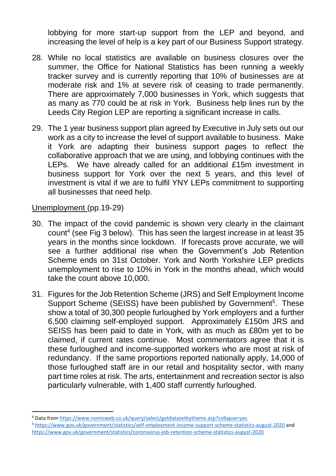lobbying for more start-up support from the LEP and beyond, and increasing the level of help is a key part of our Business Support strategy.

- 28. While no local statistics are available on business closures over the summer, the Office for National Statistics has been running a weekly tracker survey and is currently reporting that 10% of businesses are at moderate risk and 1% at severe risk of ceasing to trade permanently. There are approximately 7,000 businesses in York, which suggests that as many as 770 could be at risk in York. Business help lines run by the Leeds City Region LEP are reporting a significant increase in calls.
- 29. The 1 year business support plan agreed by Executive in July sets out our work as a city to increase the level of support available to business. Make it York are adapting their business support pages to reflect the collaborative approach that we are using, and lobbying continues with the LEPs. We have already called for an additional £15m investment in business support for York over the next 5 years, and this level of investment is vital if we are to fulfil YNY LEPs commitment to supporting all businesses that need help.

Unemployment (pp.19-29)

1

- 30. The impact of the covid pandemic is shown very clearly in the claimant count<sup>4</sup> (see Fig 3 below). This has seen the largest increase in at least 35 years in the months since lockdown. If forecasts prove accurate, we will see a further additional rise when the Government's Job Retention Scheme ends on 31st October. York and North Yorkshire LEP predicts unemployment to rise to 10% in York in the months ahead, which would take the count above 10,000.
- 31. Figures for the Job Retention Scheme (JRS) and Self Employment Income Support Scheme (SEISS) have been published by Government<sup>5</sup>. These show a total of 30,300 people furloughed by York employers and a further 6,500 claiming self-employed support. Approximately £150m JRS and SEISS has been paid to date in York, with as much as £80m yet to be claimed, if current rates continue. Most commentators agree that it is these furloughed and income-supported workers who are most at risk of redundancy. If the same proportions reported nationally apply, 14,000 of those furloughed staff are in our retail and hospitality sector, with many part time roles at risk. The arts, entertainment and recreation sector is also particularly vulnerable, with 1,400 staff currently furloughed.

<sup>4</sup> Data fro[m https://www.nomisweb.co.uk/query/select/getdatasetbytheme.asp?collapse=yes](https://www.nomisweb.co.uk/query/select/getdatasetbytheme.asp?collapse=yes)

<sup>5</sup> <https://www.gov.uk/government/statistics/self-employment-income-support-scheme-statistics-august-2020> and <https://www.gov.uk/government/statistics/coronavirus-job-retention-scheme-statistics-august-2020>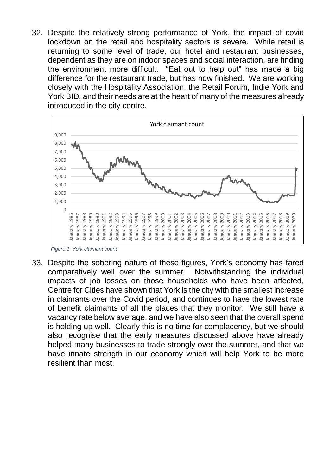32. Despite the relatively strong performance of York, the impact of covid lockdown on the retail and hospitality sectors is severe. While retail is returning to some level of trade, our hotel and restaurant businesses, dependent as they are on indoor spaces and social interaction, are finding the environment more difficult. "Eat out to help out" has made a big difference for the restaurant trade, but has now finished. We are working closely with the Hospitality Association, the Retail Forum, Indie York and York BID, and their needs are at the heart of many of the measures already introduced in the city centre.



*Figure 3: York claimant count*

33. Despite the sobering nature of these figures, York's economy has fared comparatively well over the summer. Notwithstanding the individual impacts of job losses on those households who have been affected, Centre for Cities have shown that York is the city with the smallest increase in claimants over the Covid period, and continues to have the lowest rate of benefit claimants of all the places that they monitor. We still have a vacancy rate below average, and we have also seen that the overall spend is holding up well. Clearly this is no time for complacency, but we should also recognise that the early measures discussed above have already helped many businesses to trade strongly over the summer, and that we have innate strength in our economy which will help York to be more resilient than most.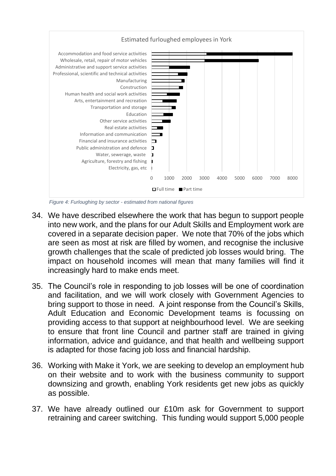

*Figure 4: Furloughing by sector - estimated from national figures*

- 34. We have described elsewhere the work that has begun to support people into new work, and the plans for our Adult Skills and Employment work are covered in a separate decision paper. We note that 70% of the jobs which are seen as most at risk are filled by women, and recognise the inclusive growth challenges that the scale of predicted job losses would bring. The impact on household incomes will mean that many families will find it increasingly hard to make ends meet.
- 35. The Council's role in responding to job losses will be one of coordination and facilitation, and we will work closely with Government Agencies to bring support to those in need. A joint response from the Council's Skills, Adult Education and Economic Development teams is focussing on providing access to that support at neighbourhood level. We are seeking to ensure that front line Council and partner staff are trained in giving information, advice and guidance, and that health and wellbeing support is adapted for those facing job loss and financial hardship.
- 36. Working with Make it York, we are seeking to develop an employment hub on their website and to work with the business community to support downsizing and growth, enabling York residents get new jobs as quickly as possible.
- 37. We have already outlined our £10m ask for Government to support retraining and career switching. This funding would support 5,000 people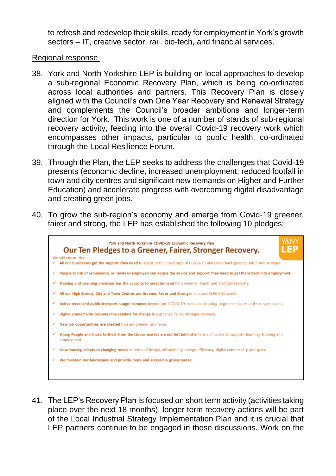to refresh and redevelop their skills, ready for employment in York's growth sectors – IT, creative sector, rail, bio-tech, and financial services.

Regional response

- 38. York and North Yorkshire LEP is building on local approaches to develop a sub-regional Economic Recovery Plan, which is being co-ordinated across local authorities and partners. This Recovery Plan is closely aligned with the Council's own One Year Recovery and Renewal Strategy and complements the Council's broader ambitions and longer-term direction for York. This work is one of a number of stands of sub-regional recovery activity, feeding into the overall Covid-19 recovery work which encompasses other impacts, particular to public health, co-ordinated through the Local Resilience Forum.
- 39. Through the Plan, the LEP seeks to address the challenges that Covid-19 presents (economic decline, increased unemployment, reduced footfall in town and city centres and significant new demands on Higher and Further Education) and accelerate progress with overcoming digital disadvantage and creating green jobs.
- 40. To grow the sub-region's economy and emerge from Covid-19 greener, fairer and strong, the LEP has established the following 10 pledges:



41. The LEP's Recovery Plan is focused on short term activity (activities taking place over the next 18 months), longer term recovery actions will be part of the Local Industrial Strategy Implementation Plan and it is crucial that LEP partners continue to be engaged in these discussions. Work on the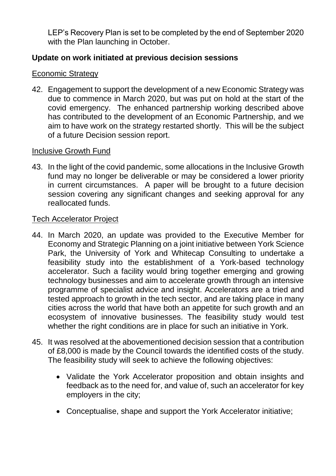LEP's Recovery Plan is set to be completed by the end of September 2020 with the Plan launching in October.

# **Update on work initiated at previous decision sessions**

### Economic Strategy

42. Engagement to support the development of a new Economic Strategy was due to commence in March 2020, but was put on hold at the start of the covid emergency. The enhanced partnership working described above has contributed to the development of an Economic Partnership, and we aim to have work on the strategy restarted shortly. This will be the subject of a future Decision session report.

### Inclusive Growth Fund

43. In the light of the covid pandemic, some allocations in the Inclusive Growth fund may no longer be deliverable or may be considered a lower priority in current circumstances. A paper will be brought to a future decision session covering any significant changes and seeking approval for any reallocated funds.

#### Tech Accelerator Project

- 44. In March 2020, an update was provided to the Executive Member for Economy and Strategic Planning on a joint initiative between York Science Park, the University of York and Whitecap Consulting to undertake a feasibility study into the establishment of a York-based technology accelerator. Such a facility would bring together emerging and growing technology businesses and aim to accelerate growth through an intensive programme of specialist advice and insight. Accelerators are a tried and tested approach to growth in the tech sector, and are taking place in many cities across the world that have both an appetite for such growth and an ecosystem of innovative businesses. The feasibility study would test whether the right conditions are in place for such an initiative in York.
- 45. It was resolved at the abovementioned decision session that a contribution of £8,000 is made by the Council towards the identified costs of the study. The feasibility study will seek to achieve the following objectives:
	- Validate the York Accelerator proposition and obtain insights and feedback as to the need for, and value of, such an accelerator for key employers in the city;
	- Conceptualise, shape and support the York Accelerator initiative;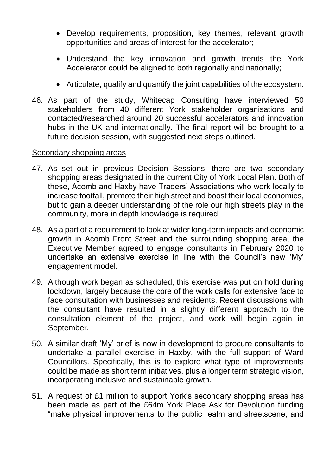- Develop requirements, proposition, key themes, relevant growth opportunities and areas of interest for the accelerator;
- Understand the key innovation and growth trends the York Accelerator could be aligned to both regionally and nationally;
- Articulate, qualify and quantify the joint capabilities of the ecosystem.
- 46. As part of the study, Whitecap Consulting have interviewed 50 stakeholders from 40 different York stakeholder organisations and contacted/researched around 20 successful accelerators and innovation hubs in the UK and internationally. The final report will be brought to a future decision session, with suggested next steps outlined.

#### Secondary shopping areas

- 47. As set out in previous Decision Sessions, there are two secondary shopping areas designated in the current City of York Local Plan. Both of these, Acomb and Haxby have Traders' Associations who work locally to increase footfall, promote their high street and boost their local economies, but to gain a deeper understanding of the role our high streets play in the community, more in depth knowledge is required.
- 48. As a part of a requirement to look at wider long-term impacts and economic growth in Acomb Front Street and the surrounding shopping area, the Executive Member agreed to engage consultants in February 2020 to undertake an extensive exercise in line with the Council's new 'My' engagement model.
- 49. Although work began as scheduled, this exercise was put on hold during lockdown, largely because the core of the work calls for extensive face to face consultation with businesses and residents. Recent discussions with the consultant have resulted in a slightly different approach to the consultation element of the project, and work will begin again in September.
- 50. A similar draft 'My' brief is now in development to procure consultants to undertake a parallel exercise in Haxby, with the full support of Ward Councillors. Specifically, this is to explore what type of improvements could be made as short term initiatives, plus a longer term strategic vision, incorporating inclusive and sustainable growth.
- 51. A request of £1 million to support York's secondary shopping areas has been made as part of the £64m York Place Ask for Devolution funding "make physical improvements to the public realm and streetscene, and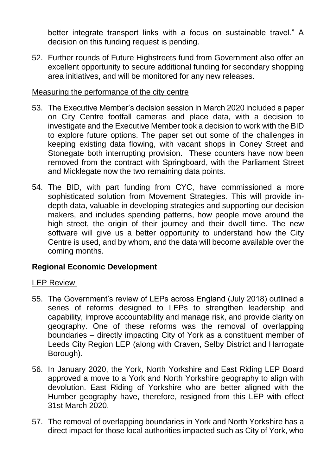better integrate transport links with a focus on sustainable travel." A decision on this funding request is pending.

52. Further rounds of Future Highstreets fund from Government also offer an excellent opportunity to secure additional funding for secondary shopping area initiatives, and will be monitored for any new releases.

### Measuring the performance of the city centre

- 53. The Executive Member's decision session in March 2020 included a paper on City Centre footfall cameras and place data, with a decision to investigate and the Executive Member took a decision to work with the BID to explore future options. The paper set out some of the challenges in keeping existing data flowing, with vacant shops in Coney Street and Stonegate both interrupting provision. These counters have now been removed from the contract with Springboard, with the Parliament Street and Micklegate now the two remaining data points.
- 54. The BID, with part funding from CYC, have commissioned a more sophisticated solution from Movement Strategies. This will provide indepth data, valuable in developing strategies and supporting our decision makers, and includes spending patterns, how people move around the high street, the origin of their journey and their dwell time. The new software will give us a better opportunity to understand how the City Centre is used, and by whom, and the data will become available over the coming months.

### **Regional Economic Development**

### LEP Review

- 55. The Government's review of LEPs across England (July 2018) outlined a series of reforms designed to LEPs to strengthen leadership and capability, improve accountability and manage risk, and provide clarity on geography. One of these reforms was the removal of overlapping boundaries – directly impacting City of York as a constituent member of Leeds City Region LEP (along with Craven, Selby District and Harrogate Borough).
- 56. In January 2020, the York, North Yorkshire and East Riding LEP Board approved a move to a York and North Yorkshire geography to align with devolution. East Riding of Yorkshire who are better aligned with the Humber geography have, therefore, resigned from this LEP with effect 31st March 2020.
- 57. The removal of overlapping boundaries in York and North Yorkshire has a direct impact for those local authorities impacted such as City of York, who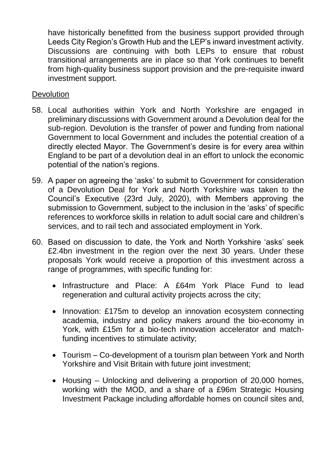have historically benefitted from the business support provided through Leeds City Region's Growth Hub and the LEP's inward investment activity. Discussions are continuing with both LEPs to ensure that robust transitional arrangements are in place so that York continues to benefit from high-quality business support provision and the pre-requisite inward investment support.

### **Devolution**

- 58. Local authorities within York and North Yorkshire are engaged in preliminary discussions with Government around a Devolution deal for the sub-region. Devolution is the transfer of power and funding from national Government to local Government and includes the potential creation of a directly elected Mayor. The Government's desire is for every area within England to be part of a devolution deal in an effort to unlock the economic potential of the nation's regions.
- 59. A paper on agreeing the 'asks' to submit to Government for consideration of a Devolution Deal for York and North Yorkshire was taken to the Council's Executive (23rd July, 2020), with Members approving the submission to Government, subject to the inclusion in the 'asks' of specific references to workforce skills in relation to adult social care and children's services, and to rail tech and associated employment in York.
- 60. Based on discussion to date, the York and North Yorkshire 'asks' seek £2.4bn investment in the region over the next 30 years. Under these proposals York would receive a proportion of this investment across a range of programmes, with specific funding for:
	- Infrastructure and Place: A £64m York Place Fund to lead regeneration and cultural activity projects across the city;
	- Innovation: £175m to develop an innovation ecosystem connecting academia, industry and policy makers around the bio-economy in York, with £15m for a bio-tech innovation accelerator and matchfunding incentives to stimulate activity;
	- Tourism Co-development of a tourism plan between York and North Yorkshire and Visit Britain with future joint investment;
	- Housing Unlocking and delivering a proportion of 20,000 homes, working with the MOD, and a share of a £96m Strategic Housing Investment Package including affordable homes on council sites and,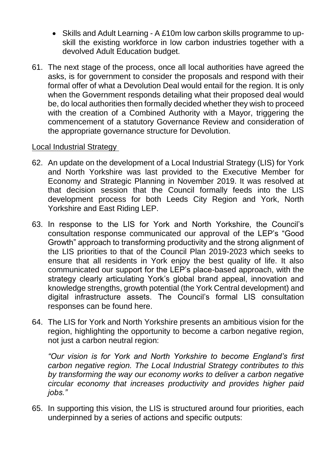- Skills and Adult Learning A £10m low carbon skills programme to upskill the existing workforce in low carbon industries together with a devolved Adult Education budget.
- 61. The next stage of the process, once all local authorities have agreed the asks, is for government to consider the proposals and respond with their formal offer of what a Devolution Deal would entail for the region. It is only when the Government responds detailing what their proposed deal would be, do local authorities then formally decided whether they wish to proceed with the creation of a Combined Authority with a Mayor, triggering the commencement of a statutory Governance Review and consideration of the appropriate governance structure for Devolution.

### Local Industrial Strategy

- 62. An update on the development of a Local Industrial Strategy (LIS) for York and North Yorkshire was last provided to the Executive Member for Economy and Strategic Planning in November 2019. It was resolved at that decision session that the Council formally feeds into the LIS development process for both Leeds City Region and York, North Yorkshire and East Riding LEP.
- 63. In response to the LIS for York and North Yorkshire, the Council's consultation response communicated our approval of the LEP's "Good Growth" approach to transforming productivity and the strong alignment of the LIS priorities to that of the Council Plan 2019-2023 which seeks to ensure that all residents in York enjoy the best quality of life. It also communicated our support for the LEP's place-based approach, with the strategy clearly articulating York's global brand appeal, innovation and knowledge strengths, growth potential (the York Central development) and digital infrastructure assets. The Council's formal LIS consultation responses can be found here.
- 64. The LIS for York and North Yorkshire presents an ambitious vision for the region, highlighting the opportunity to become a carbon negative region, not just a carbon neutral region:

*"Our vision is for York and North Yorkshire to become England's first carbon negative region. The Local Industrial Strategy contributes to this by transforming the way our economy works to deliver a carbon negative circular economy that increases productivity and provides higher paid jobs."*

65. In supporting this vision, the LIS is structured around four priorities, each underpinned by a series of actions and specific outputs: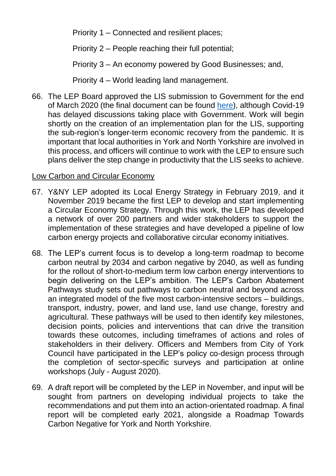Priority 1 – Connected and resilient places;

Priority 2 – People reaching their full potential;

Priority 3 – An economy powered by Good Businesses; and,

Priority 4 – World leading land management.

66. The LEP Board approved the LIS submission to Government for the end of March 2020 (the final document can be found [here\)](https://www.businessinspiredgrowth.com/wp-content/uploads/2020/06/LIS-YNY-BOARD-SIGN-OFF-13032020.pdf), although Covid-19 has delayed discussions taking place with Government. Work will begin shortly on the creation of an implementation plan for the LIS, supporting the sub-region's longer-term economic recovery from the pandemic. It is important that local authorities in York and North Yorkshire are involved in this process, and officers will continue to work with the LEP to ensure such plans deliver the step change in productivity that the LIS seeks to achieve.

## Low Carbon and Circular Economy

- 67. Y&NY LEP adopted its Local Energy Strategy in February 2019, and it November 2019 became the first LEP to develop and start implementing a Circular Economy Strategy. Through this work, the LEP has developed a network of over 200 partners and wider stakeholders to support the implementation of these strategies and have developed a pipeline of low carbon energy projects and collaborative circular economy initiatives.
- 68. The LEP's current focus is to develop a long-term roadmap to become carbon neutral by 2034 and carbon negative by 2040, as well as funding for the rollout of short-to-medium term low carbon energy interventions to begin delivering on the LEP's ambition. The LEP's Carbon Abatement Pathways study sets out pathways to carbon neutral and beyond across an integrated model of the five most carbon-intensive sectors – buildings, transport, industry, power, and land use, land use change, forestry and agricultural. These pathways will be used to then identify key milestones, decision points, policies and interventions that can drive the transition towards these outcomes, including timeframes of actions and roles of stakeholders in their delivery. Officers and Members from City of York Council have participated in the LEP's policy co-design process through the completion of sector-specific surveys and participation at online workshops (July - August 2020).
- 69. A draft report will be completed by the LEP in November, and input will be sought from partners on developing individual projects to take the recommendations and put them into an action-orientated roadmap. A final report will be completed early 2021, alongside a Roadmap Towards Carbon Negative for York and North Yorkshire.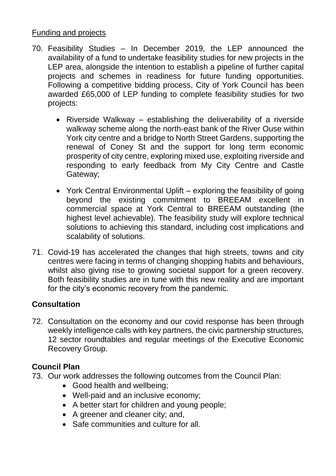### Funding and projects

- 70. Feasibility Studies In December 2019, the LEP announced the availability of a fund to undertake feasibility studies for new projects in the LEP area, alongside the intention to establish a pipeline of further capital projects and schemes in readiness for future funding opportunities. Following a competitive bidding process, City of York Council has been awarded £65,000 of LEP funding to complete feasibility studies for two projects:
	- Riverside Walkway establishing the deliverability of a riverside walkway scheme along the north-east bank of the River Ouse within York city centre and a bridge to North Street Gardens, supporting the renewal of Coney St and the support for long term economic prosperity of city centre, exploring mixed use, exploiting riverside and responding to early feedback from My City Centre and Castle Gateway;
	- York Central Environmental Uplift exploring the feasibility of going beyond the existing commitment to BREEAM excellent in commercial space at York Central to BREEAM outstanding (the highest level achievable). The feasibility study will explore technical solutions to achieving this standard, including cost implications and scalability of solutions.
- 71. Covid-19 has accelerated the changes that high streets, towns and city centres were facing in terms of changing shopping habits and behaviours, whilst also giving rise to growing societal support for a green recovery. Both feasibility studies are in tune with this new reality and are important for the city's economic recovery from the pandemic.

# **Consultation**

72. Consultation on the economy and our covid response has been through weekly intelligence calls with key partners, the civic partnership structures, 12 sector roundtables and regular meetings of the Executive Economic Recovery Group.

# **Council Plan**

- 73. Our work addresses the following outcomes from the Council Plan:
	- Good health and wellbeing;
	- Well-paid and an inclusive economy;
	- A better start for children and young people;
	- A greener and cleaner city; and,
	- Safe communities and culture for all.